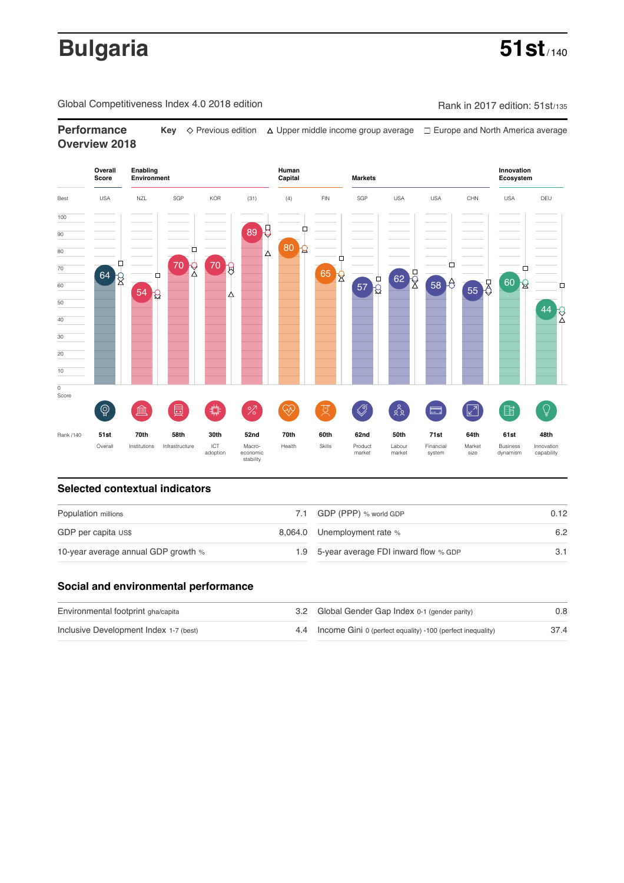# **Bulgaria** 51st<sub>/140</sub>

Global Competitiveness Index 4.0 2018 edition Company Company Rank in 2017 edition: 51st/135

**Performance** Key  $\Diamond$  Previous edition △ Upper middle income group average □ Europe and North America average **Overview 2018**



## **Selected contextual indicators**

| Population millions                 |  | 7.1 GDP (PPP) % world GDP                | 0.12 |  |
|-------------------------------------|--|------------------------------------------|------|--|
| GDP per capita US\$                 |  | 8,064.0 Unemployment rate %              | 6.2  |  |
| 10-year average annual GDP growth % |  | 1.9 5-year average FDI inward flow % GDP |      |  |

### **Social and environmental performance**

| Environmental footprint gha/capita     | 3.2 Global Gender Gap Index 0-1 (gender parity)                | 0.8  |
|----------------------------------------|----------------------------------------------------------------|------|
| Inclusive Development Index 1-7 (best) | 4.4 Income Gini 0 (perfect equality) -100 (perfect inequality) | 37.4 |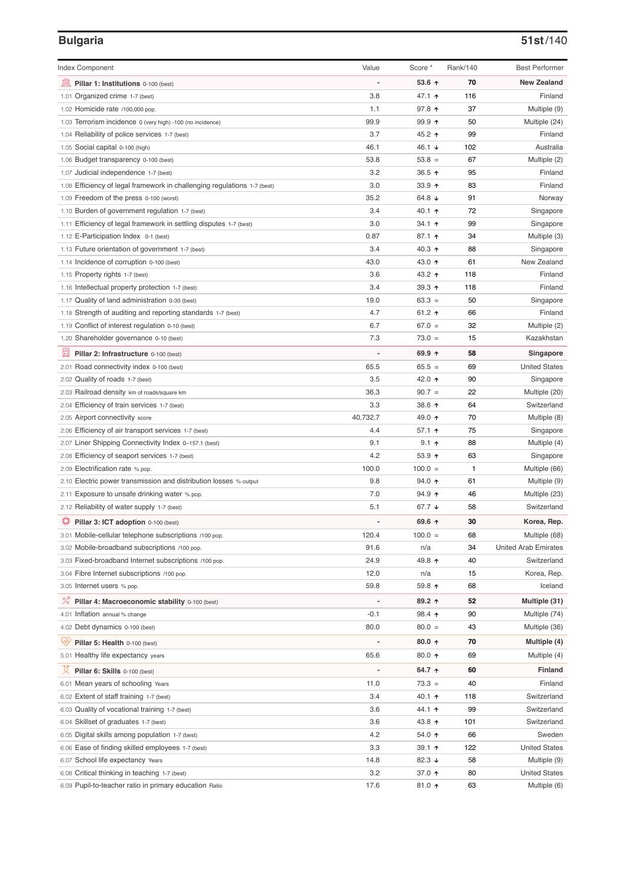### **Bulgaria 51st**/140

| <b>Index Component</b>                                                             | Value          | Score *            | Rank/140  | <b>Best Performer</b>                |
|------------------------------------------------------------------------------------|----------------|--------------------|-----------|--------------------------------------|
| 寙<br>Pillar 1: Institutions 0-100 (best)                                           |                | 53.6 ↑             | 70        | <b>New Zealand</b>                   |
| 1.01 Organized crime 1-7 (best)                                                    | 3.8            | 47.1 ተ             | 116       | Finland                              |
| 1.02 Homicide rate /100,000 pop.                                                   | 1.1            | 97.8 ↑             | 37        | Multiple (9)                         |
| 1.03 Terrorism incidence 0 (very high) -100 (no incidence)                         | 99.9           | 99.9 个             | 50        | Multiple (24)                        |
| 1.04 Reliability of police services 1-7 (best)                                     | 3.7            | 45.2 ↑             | 99        | Finland                              |
| 1.05 Social capital 0-100 (high)                                                   | 46.1           | 46.1 ↓             | 102       | Australia                            |
| 1.06 Budget transparency 0-100 (best)                                              | 53.8           | $53.8 =$           | 67        | Multiple (2)                         |
| 1.07 Judicial independence 1-7 (best)                                              | 3.2            | 36.5 ↑             | 95        | Finland                              |
| 1.08 Efficiency of legal framework in challenging regulations 1-7 (best)           | 3.0            | 33.9 个             | 83        | Finland                              |
| 1.09 Freedom of the press 0-100 (worst)                                            | 35.2           | 64.8 ↓             | 91        | Norway                               |
| 1.10 Burden of government regulation 1-7 (best)                                    | 3.4            | 40.1 ↑             | 72        | Singapore                            |
| 1.11 Efficiency of legal framework in settling disputes 1-7 (best)                 | 3.0            | 34.1 ↑             | 99        | Singapore                            |
| 1.12 E-Participation Index 0-1 (best)                                              | 0.87           | 87.1 ተ             | 34        | Multiple (3)                         |
| 1.13 Future orientation of government 1-7 (best)                                   | 3.4            | 40.3 ↑             | 88        | Singapore                            |
| 1.14 Incidence of corruption 0-100 (best)                                          | 43.0           | 43.0 ተ             | 61        | New Zealand                          |
| 1.15 Property rights 1-7 (best)                                                    | 3.6            | 43.2 ↑             | 118       | Finland                              |
| 1.16 Intellectual property protection 1-7 (best)                                   | 3.4            | 39.3 ↑             | 118       | Finland                              |
| 1.17 Quality of land administration 0-30 (best)                                    | 19.0           | $63.3 =$           | 50        | Singapore                            |
| 1.18 Strength of auditing and reporting standards 1-7 (best)                       | 4.7            | 61.2 $\uparrow$    | 66        | Finland                              |
| 1.19 Conflict of interest regulation 0-10 (best)                                   | 6.7            | $67.0 =$           | 32        | Multiple (2)                         |
| 1.20 Shareholder governance 0-10 (best)                                            | 7.3            | $73.0 =$           | 15        | Kazakhstan                           |
| 員<br>Pillar 2: Infrastructure 0-100 (best)                                         |                | 69.9 ↑             | 58        | Singapore                            |
| 2.01 Road connectivity index 0-100 (best)                                          | 65.5           | $65.5 =$           | 69        | <b>United States</b>                 |
| 2.02 Quality of roads 1-7 (best)                                                   | 3.5            | 42.0 ↑             | 90        | Singapore                            |
| 2.03 Railroad density km of roads/square km                                        | 36.3           | $90.7 =$           | 22        | Multiple (20)                        |
| 2.04 Efficiency of train services 1-7 (best)                                       | 3.3            | 38.6 个             | 64        | Switzerland                          |
| 2.05 Airport connectivity score                                                    | 40,732.7       | 49.0 ↑             | 70        | Multiple (8)                         |
| 2.06 Efficiency of air transport services 1-7 (best)                               | 4.4            | 57.1 ↑             | 75        | Singapore                            |
| 2.07 Liner Shipping Connectivity Index 0-157.1 (best)                              | 9.1            | $9.1$ ↑            | 88        | Multiple (4)                         |
| 2.08 Efficiency of seaport services 1-7 (best)                                     | 4.2            | 53.9 个             | 63        | Singapore                            |
| 2.09 Electrification rate % pop.                                                   | 100.0          | $100.0 =$          | 1         | Multiple (66)                        |
| 2.10 Electric power transmission and distribution losses % output                  | 9.8            | 94.0 ↑             | 61        | Multiple (9)                         |
| 2.11 Exposure to unsafe drinking water % pop.                                      | 7.0            | $94.9$ ↑           | 46        | Multiple (23)                        |
| 2.12 Reliability of water supply 1-7 (best)                                        | 5.1            | 67.7 ↓             | 58        | Switzerland                          |
| O<br>Pillar 3: ICT adoption 0-100 (best)                                           |                | 69.6 ↑             | 30        | Korea, Rep.                          |
| 3.01 Mobile-cellular telephone subscriptions /100 pop.                             | 120.4          | $100.0 =$          | 68        | Multiple (68)                        |
| 3.02 Mobile-broadband subscriptions /100 pop.                                      | 91.6           | n/a                | 34        | <b>United Arab Emirates</b>          |
| 3.03 Fixed-broadband Internet subscriptions /100 pop.                              | 24.9           | 49.8 ተ             | 40        | Switzerland                          |
| 3.04 Fibre Internet subscriptions /100 pop.                                        | 12.0           | n/a                | 15        | Korea, Rep.                          |
| 3.05 Internet users % pop.                                                         | 59.8           | 59.8 个             | 68        | Iceland                              |
| ℅<br>Pillar 4: Macroeconomic stability 0-100 (best)                                | $\overline{a}$ | 89.2 个             | 52        | Multiple (31)                        |
| 4.01 Inflation annual % change                                                     | $-0.1$         | 98.4 ተ             | 90        | Multiple (74)                        |
| 4.02 Debt dynamics 0-100 (best)                                                    | 80.0           | $80.0 =$           | 43        | Multiple (36)                        |
| Qv<br>Pillar 5: Health 0-100 (best)                                                | ÷              | $80.0 \text{ A}$   | 70        | Multiple (4)                         |
| 5.01 Healthy life expectancy years                                                 | 65.6           | 80.0 个             | 69        | Multiple (4)                         |
| 섯                                                                                  | $\overline{a}$ | 64.7 ↑             | 60        | Finland                              |
| Pillar 6: Skills 0-100 (best)                                                      |                |                    |           |                                      |
| 6.01 Mean years of schooling Years                                                 | 11.0<br>3.4    | $73.3 =$<br>40.1 ↑ | 40<br>118 | Finland<br>Switzerland               |
| 6.02 Extent of staff training 1-7 (best)                                           | 3.6            | 44.1 ተ             | 99        | Switzerland                          |
| 6.03 Quality of vocational training 1-7 (best)                                     |                |                    |           |                                      |
| 6.04 Skillset of graduates 1-7 (best)                                              | 3.6<br>4.2     | 43.8 ↑<br>54.0 ↑   | 101<br>66 | Switzerland<br>Sweden                |
| 6.05 Digital skills among population 1-7 (best)                                    |                |                    |           |                                      |
| 6.06 Ease of finding skilled employees 1-7 (best)                                  | 3.3            | 39.1 ↑             | 122<br>58 | <b>United States</b>                 |
| 6.07 School life expectancy Years<br>6.08 Critical thinking in teaching 1-7 (best) | 14.8<br>3.2    | 82.3 ↓<br>37.0 ↑   | 80        | Multiple (9)<br><b>United States</b> |
| 6.09 Pupil-to-teacher ratio in primary education Ratio                             | 17.6           | 81.0 ↑             | 63        | Multiple (6)                         |